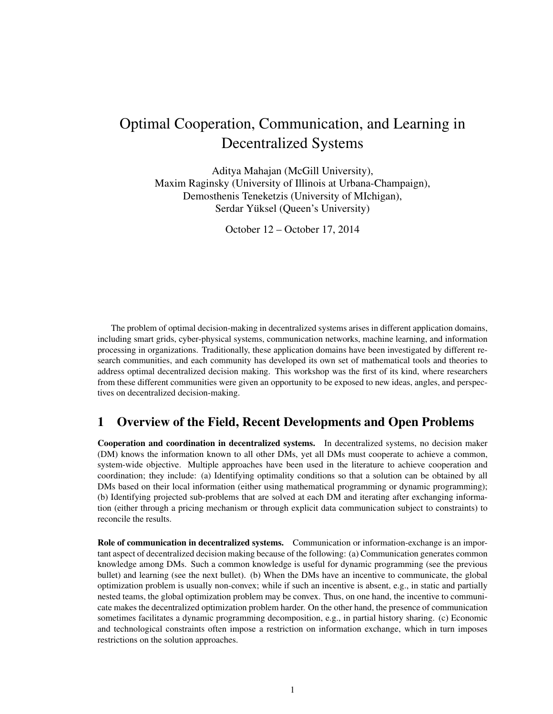# Optimal Cooperation, Communication, and Learning in Decentralized Systems

Aditya Mahajan (McGill University), Maxim Raginsky (University of Illinois at Urbana-Champaign), Demosthenis Teneketzis (University of MIchigan), Serdar Yüksel (Queen's University)

October 12 – October 17, 2014

The problem of optimal decision-making in decentralized systems arises in different application domains, including smart grids, cyber-physical systems, communication networks, machine learning, and information processing in organizations. Traditionally, these application domains have been investigated by different research communities, and each community has developed its own set of mathematical tools and theories to address optimal decentralized decision making. This workshop was the first of its kind, where researchers from these different communities were given an opportunity to be exposed to new ideas, angles, and perspectives on decentralized decision-making.

# 1 Overview of the Field, Recent Developments and Open Problems

Cooperation and coordination in decentralized systems. In decentralized systems, no decision maker (DM) knows the information known to all other DMs, yet all DMs must cooperate to achieve a common, system-wide objective. Multiple approaches have been used in the literature to achieve cooperation and coordination; they include: (a) Identifying optimality conditions so that a solution can be obtained by all DMs based on their local information (either using mathematical programming or dynamic programming); (b) Identifying projected sub-problems that are solved at each DM and iterating after exchanging information (either through a pricing mechanism or through explicit data communication subject to constraints) to reconcile the results.

Role of communication in decentralized systems. Communication or information-exchange is an important aspect of decentralized decision making because of the following: (a) Communication generates common knowledge among DMs. Such a common knowledge is useful for dynamic programming (see the previous bullet) and learning (see the next bullet). (b) When the DMs have an incentive to communicate, the global optimization problem is usually non-convex; while if such an incentive is absent, e.g., in static and partially nested teams, the global optimization problem may be convex. Thus, on one hand, the incentive to communicate makes the decentralized optimization problem harder. On the other hand, the presence of communication sometimes facilitates a dynamic programming decomposition, e.g., in partial history sharing. (c) Economic and technological constraints often impose a restriction on information exchange, which in turn imposes restrictions on the solution approaches.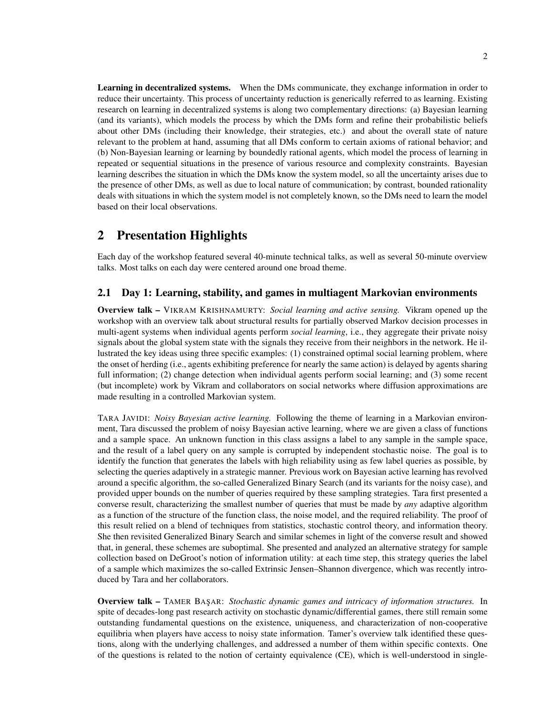Learning in decentralized systems. When the DMs communicate, they exchange information in order to reduce their uncertainty. This process of uncertainty reduction is generically referred to as learning. Existing research on learning in decentralized systems is along two complementary directions: (a) Bayesian learning (and its variants), which models the process by which the DMs form and refine their probabilistic beliefs about other DMs (including their knowledge, their strategies, etc.) and about the overall state of nature relevant to the problem at hand, assuming that all DMs conform to certain axioms of rational behavior; and (b) Non-Bayesian learning or learning by boundedly rational agents, which model the process of learning in repeated or sequential situations in the presence of various resource and complexity constraints. Bayesian learning describes the situation in which the DMs know the system model, so all the uncertainty arises due to the presence of other DMs, as well as due to local nature of communication; by contrast, bounded rationality deals with situations in which the system model is not completely known, so the DMs need to learn the model based on their local observations.

## 2 Presentation Highlights

Each day of the workshop featured several 40-minute technical talks, as well as several 50-minute overview talks. Most talks on each day were centered around one broad theme.

### 2.1 Day 1: Learning, stability, and games in multiagent Markovian environments

Overview talk – VIKRAM KRISHNAMURTY: *Social learning and active sensing.* Vikram opened up the workshop with an overview talk about structural results for partially observed Markov decision processes in multi-agent systems when individual agents perform *social learning*, i.e., they aggregate their private noisy signals about the global system state with the signals they receive from their neighbors in the network. He illustrated the key ideas using three specific examples: (1) constrained optimal social learning problem, where the onset of herding (i.e., agents exhibiting preference for nearly the same action) is delayed by agents sharing full information; (2) change detection when individual agents perform social learning; and (3) some recent (but incomplete) work by Vikram and collaborators on social networks where diffusion approximations are made resulting in a controlled Markovian system.

TARA JAVIDI: *Noisy Bayesian active learning.* Following the theme of learning in a Markovian environment, Tara discussed the problem of noisy Bayesian active learning, where we are given a class of functions and a sample space. An unknown function in this class assigns a label to any sample in the sample space, and the result of a label query on any sample is corrupted by independent stochastic noise. The goal is to identify the function that generates the labels with high reliability using as few label queries as possible, by selecting the queries adaptively in a strategic manner. Previous work on Bayesian active learning has revolved around a specific algorithm, the so-called Generalized Binary Search (and its variants for the noisy case), and provided upper bounds on the number of queries required by these sampling strategies. Tara first presented a converse result, characterizing the smallest number of queries that must be made by *any* adaptive algorithm as a function of the structure of the function class, the noise model, and the required reliability. The proof of this result relied on a blend of techniques from statistics, stochastic control theory, and information theory. She then revisited Generalized Binary Search and similar schemes in light of the converse result and showed that, in general, these schemes are suboptimal. She presented and analyzed an alternative strategy for sample collection based on DeGroot's notion of information utility: at each time step, this strategy queries the label of a sample which maximizes the so-called Extrinsic Jensen–Shannon divergence, which was recently introduced by Tara and her collaborators.

**Overview talk –** TAMER BAŞAR: *Stochastic dynamic games and intricacy of information structures.* In spite of decades-long past research activity on stochastic dynamic/differential games, there still remain some outstanding fundamental questions on the existence, uniqueness, and characterization of non-cooperative equilibria when players have access to noisy state information. Tamer's overview talk identified these questions, along with the underlying challenges, and addressed a number of them within specific contexts. One of the questions is related to the notion of certainty equivalence (CE), which is well-understood in single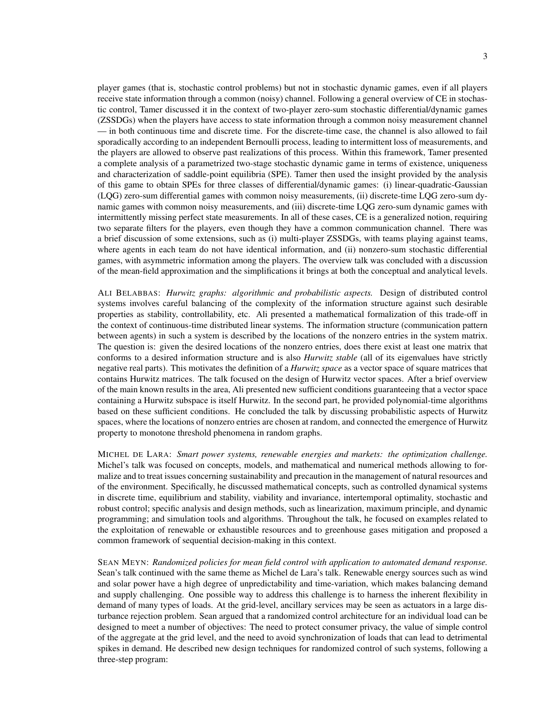player games (that is, stochastic control problems) but not in stochastic dynamic games, even if all players receive state information through a common (noisy) channel. Following a general overview of CE in stochastic control, Tamer discussed it in the context of two-player zero-sum stochastic differential/dynamic games (ZSSDGs) when the players have access to state information through a common noisy measurement channel — in both continuous time and discrete time. For the discrete-time case, the channel is also allowed to fail sporadically according to an independent Bernoulli process, leading to intermittent loss of measurements, and the players are allowed to observe past realizations of this process. Within this framework, Tamer presented a complete analysis of a parametrized two-stage stochastic dynamic game in terms of existence, uniqueness and characterization of saddle-point equilibria (SPE). Tamer then used the insight provided by the analysis of this game to obtain SPEs for three classes of differential/dynamic games: (i) linear-quadratic-Gaussian (LQG) zero-sum differential games with common noisy measurements, (ii) discrete-time LQG zero-sum dynamic games with common noisy measurements, and (iii) discrete-time LQG zero-sum dynamic games with intermittently missing perfect state measurements. In all of these cases, CE is a generalized notion, requiring two separate filters for the players, even though they have a common communication channel. There was a brief discussion of some extensions, such as (i) multi-player ZSSDGs, with teams playing against teams,

ALI BELABBAS: *Hurwitz graphs: algorithmic and probabilistic aspects.* Design of distributed control systems involves careful balancing of the complexity of the information structure against such desirable properties as stability, controllability, etc. Ali presented a mathematical formalization of this trade-off in the context of continuous-time distributed linear systems. The information structure (communication pattern between agents) in such a system is described by the locations of the nonzero entries in the system matrix. The question is: given the desired locations of the nonzero entries, does there exist at least one matrix that conforms to a desired information structure and is also *Hurwitz stable* (all of its eigenvalues have strictly negative real parts). This motivates the definition of a *Hurwitz space* as a vector space of square matrices that contains Hurwitz matrices. The talk focused on the design of Hurwitz vector spaces. After a brief overview of the main known results in the area, Ali presented new sufficient conditions guaranteeing that a vector space containing a Hurwitz subspace is itself Hurwitz. In the second part, he provided polynomial-time algorithms based on these sufficient conditions. He concluded the talk by discussing probabilistic aspects of Hurwitz spaces, where the locations of nonzero entries are chosen at random, and connected the emergence of Hurwitz property to monotone threshold phenomena in random graphs.

where agents in each team do not have identical information, and (ii) nonzero-sum stochastic differential games, with asymmetric information among the players. The overview talk was concluded with a discussion of the mean-field approximation and the simplifications it brings at both the conceptual and analytical levels.

MICHEL DE LARA: *Smart power systems, renewable energies and markets: the optimization challenge.* Michel's talk was focused on concepts, models, and mathematical and numerical methods allowing to formalize and to treat issues concerning sustainability and precaution in the management of natural resources and of the environment. Specifically, he discussed mathematical concepts, such as controlled dynamical systems in discrete time, equilibrium and stability, viability and invariance, intertemporal optimality, stochastic and robust control; specific analysis and design methods, such as linearization, maximum principle, and dynamic programming; and simulation tools and algorithms. Throughout the talk, he focused on examples related to the exploitation of renewable or exhaustible resources and to greenhouse gases mitigation and proposed a common framework of sequential decision-making in this context.

SEAN MEYN: *Randomized policies for mean field control with application to automated demand response.* Sean's talk continued with the same theme as Michel de Lara's talk. Renewable energy sources such as wind and solar power have a high degree of unpredictability and time-variation, which makes balancing demand and supply challenging. One possible way to address this challenge is to harness the inherent flexibility in demand of many types of loads. At the grid-level, ancillary services may be seen as actuators in a large disturbance rejection problem. Sean argued that a randomized control architecture for an individual load can be designed to meet a number of objectives: The need to protect consumer privacy, the value of simple control of the aggregate at the grid level, and the need to avoid synchronization of loads that can lead to detrimental spikes in demand. He described new design techniques for randomized control of such systems, following a three-step program: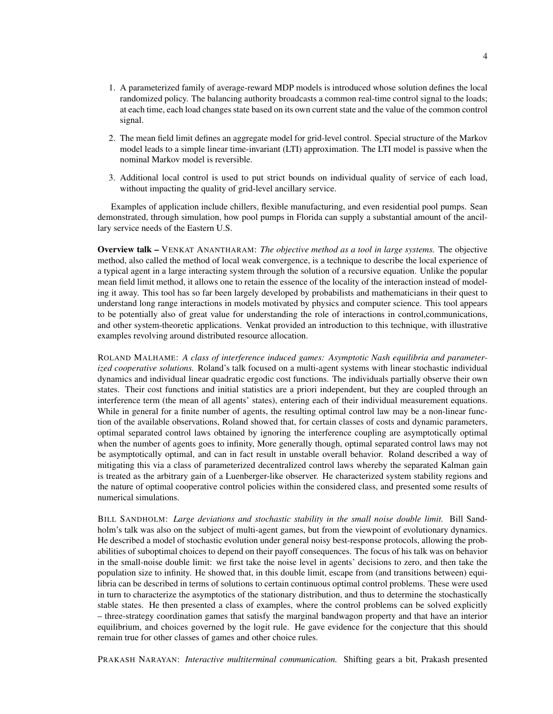- 1. A parameterized family of average-reward MDP models is introduced whose solution defines the local randomized policy. The balancing authority broadcasts a common real-time control signal to the loads; at each time, each load changes state based on its own current state and the value of the common control signal.
- 2. The mean field limit defines an aggregate model for grid-level control. Special structure of the Markov model leads to a simple linear time-invariant (LTI) approximation. The LTI model is passive when the nominal Markov model is reversible.
- 3. Additional local control is used to put strict bounds on individual quality of service of each load, without impacting the quality of grid-level ancillary service.

Examples of application include chillers, flexible manufacturing, and even residential pool pumps. Sean demonstrated, through simulation, how pool pumps in Florida can supply a substantial amount of the ancillary service needs of the Eastern U.S.

Overview talk – VENKAT ANANTHARAM: *The objective method as a tool in large systems.* The objective method, also called the method of local weak convergence, is a technique to describe the local experience of a typical agent in a large interacting system through the solution of a recursive equation. Unlike the popular mean field limit method, it allows one to retain the essence of the locality of the interaction instead of modeling it away. This tool has so far been largely developed by probabilists and mathematicians in their quest to understand long range interactions in models motivated by physics and computer science. This tool appears to be potentially also of great value for understanding the role of interactions in control,communications, and other system-theoretic applications. Venkat provided an introduction to this technique, with illustrative examples revolving around distributed resource allocation.

ROLAND MALHAME: *A class of interference induced games: Asymptotic Nash equilibria and parameterized cooperative solutions.* Roland's talk focused on a multi-agent systems with linear stochastic individual dynamics and individual linear quadratic ergodic cost functions. The individuals partially observe their own states. Their cost functions and initial statistics are a priori independent, but they are coupled through an interference term (the mean of all agents' states), entering each of their individual measurement equations. While in general for a finite number of agents, the resulting optimal control law may be a non-linear function of the available observations, Roland showed that, for certain classes of costs and dynamic parameters, optimal separated control laws obtained by ignoring the interference coupling are asymptotically optimal when the number of agents goes to infinity, More generally though, optimal separated control laws may not be asymptotically optimal, and can in fact result in unstable overall behavior. Roland described a way of mitigating this via a class of parameterized decentralized control laws whereby the separated Kalman gain is treated as the arbitrary gain of a Luenberger-like observer. He characterized system stability regions and the nature of optimal cooperative control policies within the considered class, and presented some results of numerical simulations.

BILL SANDHOLM: *Large deviations and stochastic stability in the small noise double limit.* Bill Sandholm's talk was also on the subject of multi-agent games, but from the viewpoint of evolutionary dynamics. He described a model of stochastic evolution under general noisy best-response protocols, allowing the probabilities of suboptimal choices to depend on their payoff consequences. The focus of his talk was on behavior in the small-noise double limit: we first take the noise level in agents' decisions to zero, and then take the population size to infinity. He showed that, in this double limit, escape from (and transitions between) equilibria can be described in terms of solutions to certain continuous optimal control problems. These were used in turn to characterize the asymptotics of the stationary distribution, and thus to determine the stochastically stable states. He then presented a class of examples, where the control problems can be solved explicitly – three-strategy coordination games that satisfy the marginal bandwagon property and that have an interior equilibrium, and choices governed by the logit rule. He gave evidence for the conjecture that this should remain true for other classes of games and other choice rules.

PRAKASH NARAYAN: *Interactive multiterminal communication.* Shifting gears a bit, Prakash presented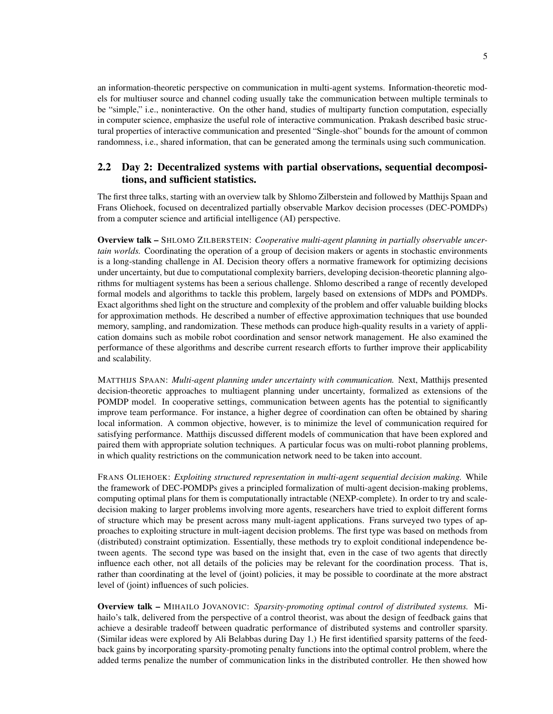an information-theoretic perspective on communication in multi-agent systems. Information-theoretic models for multiuser source and channel coding usually take the communication between multiple terminals to be "simple," i.e., noninteractive. On the other hand, studies of multiparty function computation, especially in computer science, emphasize the useful role of interactive communication. Prakash described basic structural properties of interactive communication and presented "Single-shot" bounds for the amount of common randomness, i.e., shared information, that can be generated among the terminals using such communication.

## 2.2 Day 2: Decentralized systems with partial observations, sequential decompositions, and sufficient statistics.

The first three talks, starting with an overview talk by Shlomo Zilberstein and followed by Matthijs Spaan and Frans Oliehoek, focused on decentralized partially observable Markov decision processes (DEC-POMDPs) from a computer science and artificial intelligence (AI) perspective.

Overview talk – SHLOMO ZILBERSTEIN: *Cooperative multi-agent planning in partially observable uncertain worlds.* Coordinating the operation of a group of decision makers or agents in stochastic environments is a long-standing challenge in AI. Decision theory offers a normative framework for optimizing decisions under uncertainty, but due to computational complexity barriers, developing decision-theoretic planning algorithms for multiagent systems has been a serious challenge. Shlomo described a range of recently developed formal models and algorithms to tackle this problem, largely based on extensions of MDPs and POMDPs. Exact algorithms shed light on the structure and complexity of the problem and offer valuable building blocks for approximation methods. He described a number of effective approximation techniques that use bounded memory, sampling, and randomization. These methods can produce high-quality results in a variety of application domains such as mobile robot coordination and sensor network management. He also examined the performance of these algorithms and describe current research efforts to further improve their applicability and scalability.

MATTHIJS SPAAN: *Multi-agent planning under uncertainty with communication.* Next, Matthijs presented decision-theoretic approaches to multiagent planning under uncertainty, formalized as extensions of the POMDP model. In cooperative settings, communication between agents has the potential to significantly improve team performance. For instance, a higher degree of coordination can often be obtained by sharing local information. A common objective, however, is to minimize the level of communication required for satisfying performance. Matthijs discussed different models of communication that have been explored and paired them with appropriate solution techniques. A particular focus was on multi-robot planning problems, in which quality restrictions on the communication network need to be taken into account.

FRANS OLIEHOEK: *Exploiting structured representation in multi-agent sequential decision making.* While the framework of DEC-POMDPs gives a principled formalization of multi-agent decision-making problems, computing optimal plans for them is computationally intractable (NEXP-complete). In order to try and scaledecision making to larger problems involving more agents, researchers have tried to exploit different forms of structure which may be present across many mult-iagent applications. Frans surveyed two types of approaches to exploiting structure in mult-iagent decision problems. The first type was based on methods from (distributed) constraint optimization. Essentially, these methods try to exploit conditional independence between agents. The second type was based on the insight that, even in the case of two agents that directly influence each other, not all details of the policies may be relevant for the coordination process. That is, rather than coordinating at the level of (joint) policies, it may be possible to coordinate at the more abstract level of (joint) influences of such policies.

Overview talk – MIHAILO JOVANOVIC: *Sparsity-promoting optimal control of distributed systems.* Mihailo's talk, delivered from the perspective of a control theorist, was about the design of feedback gains that achieve a desirable tradeoff between quadratic performance of distributed systems and controller sparsity. (Similar ideas were explored by Ali Belabbas during Day 1.) He first identified sparsity patterns of the feedback gains by incorporating sparsity-promoting penalty functions into the optimal control problem, where the added terms penalize the number of communication links in the distributed controller. He then showed how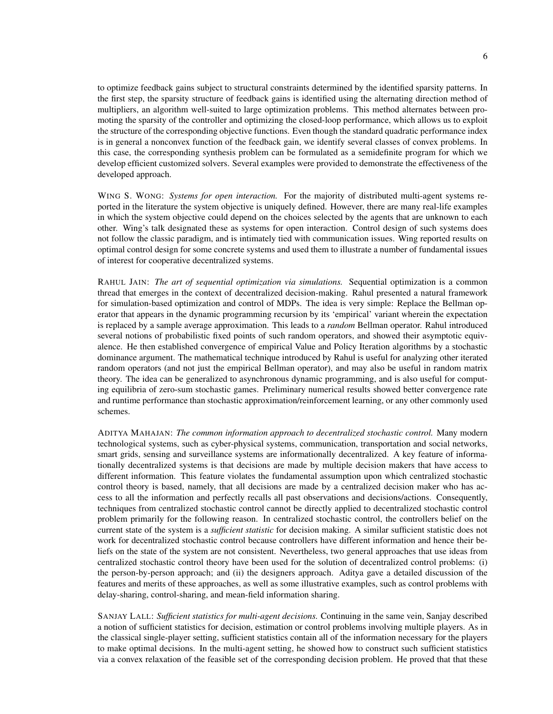to optimize feedback gains subject to structural constraints determined by the identified sparsity patterns. In the first step, the sparsity structure of feedback gains is identified using the alternating direction method of multipliers, an algorithm well-suited to large optimization problems. This method alternates between promoting the sparsity of the controller and optimizing the closed-loop performance, which allows us to exploit the structure of the corresponding objective functions. Even though the standard quadratic performance index is in general a nonconvex function of the feedback gain, we identify several classes of convex problems. In this case, the corresponding synthesis problem can be formulated as a semidefinite program for which we develop efficient customized solvers. Several examples were provided to demonstrate the effectiveness of the developed approach.

WING S. WONG: *Systems for open interaction.* For the majority of distributed multi-agent systems reported in the literature the system objective is uniquely defined. However, there are many real-life examples in which the system objective could depend on the choices selected by the agents that are unknown to each other. Wing's talk designated these as systems for open interaction. Control design of such systems does not follow the classic paradigm, and is intimately tied with communication issues. Wing reported results on optimal control design for some concrete systems and used them to illustrate a number of fundamental issues of interest for cooperative decentralized systems.

RAHUL JAIN: *The art of sequential optimization via simulations.* Sequential optimization is a common thread that emerges in the context of decentralized decision-making. Rahul presented a natural framework for simulation-based optimization and control of MDPs. The idea is very simple: Replace the Bellman operator that appears in the dynamic programming recursion by its 'empirical' variant wherein the expectation is replaced by a sample average approximation. This leads to a *random* Bellman operator. Rahul introduced several notions of probabilistic fixed points of such random operators, and showed their asymptotic equivalence. He then established convergence of empirical Value and Policy Iteration algorithms by a stochastic dominance argument. The mathematical technique introduced by Rahul is useful for analyzing other iterated random operators (and not just the empirical Bellman operator), and may also be useful in random matrix theory. The idea can be generalized to asynchronous dynamic programming, and is also useful for computing equilibria of zero-sum stochastic games. Preliminary numerical results showed better convergence rate and runtime performance than stochastic approximation/reinforcement learning, or any other commonly used schemes.

ADITYA MAHAJAN: *The common information approach to decentralized stochastic control.* Many modern technological systems, such as cyber-physical systems, communication, transportation and social networks, smart grids, sensing and surveillance systems are informationally decentralized. A key feature of informationally decentralized systems is that decisions are made by multiple decision makers that have access to different information. This feature violates the fundamental assumption upon which centralized stochastic control theory is based, namely, that all decisions are made by a centralized decision maker who has access to all the information and perfectly recalls all past observations and decisions/actions. Consequently, techniques from centralized stochastic control cannot be directly applied to decentralized stochastic control problem primarily for the following reason. In centralized stochastic control, the controllers belief on the current state of the system is a *sufficient statistic* for decision making. A similar sufficient statistic does not work for decentralized stochastic control because controllers have different information and hence their beliefs on the state of the system are not consistent. Nevertheless, two general approaches that use ideas from centralized stochastic control theory have been used for the solution of decentralized control problems: (i) the person-by-person approach; and (ii) the designers approach. Aditya gave a detailed discussion of the features and merits of these approaches, as well as some illustrative examples, such as control problems with delay-sharing, control-sharing, and mean-field information sharing.

SANJAY LALL: *Sufficient statistics for multi-agent decisions.* Continuing in the same vein, Sanjay described a notion of sufficient statistics for decision, estimation or control problems involving multiple players. As in the classical single-player setting, sufficient statistics contain all of the information necessary for the players to make optimal decisions. In the multi-agent setting, he showed how to construct such sufficient statistics via a convex relaxation of the feasible set of the corresponding decision problem. He proved that that these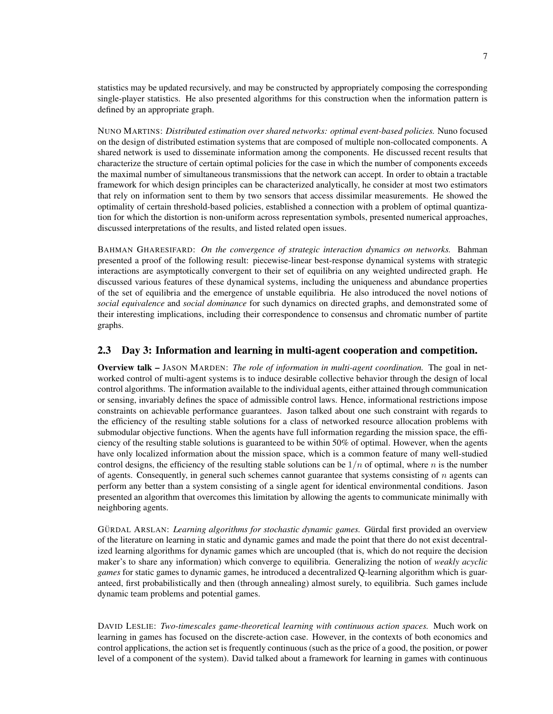statistics may be updated recursively, and may be constructed by appropriately composing the corresponding single-player statistics. He also presented algorithms for this construction when the information pattern is defined by an appropriate graph.

NUNO MARTINS: *Distributed estimation over shared networks: optimal event-based policies.* Nuno focused on the design of distributed estimation systems that are composed of multiple non-collocated components. A shared network is used to disseminate information among the components. He discussed recent results that characterize the structure of certain optimal policies for the case in which the number of components exceeds the maximal number of simultaneous transmissions that the network can accept. In order to obtain a tractable framework for which design principles can be characterized analytically, he consider at most two estimators that rely on information sent to them by two sensors that access dissimilar measurements. He showed the optimality of certain threshold-based policies, established a connection with a problem of optimal quantization for which the distortion is non-uniform across representation symbols, presented numerical approaches, discussed interpretations of the results, and listed related open issues.

BAHMAN GHARESIFARD: *On the convergence of strategic interaction dynamics on networks.* Bahman presented a proof of the following result: piecewise-linear best-response dynamical systems with strategic interactions are asymptotically convergent to their set of equilibria on any weighted undirected graph. He discussed various features of these dynamical systems, including the uniqueness and abundance properties of the set of equilibria and the emergence of unstable equilibria. He also introduced the novel notions of *social equivalence* and *social dominance* for such dynamics on directed graphs, and demonstrated some of their interesting implications, including their correspondence to consensus and chromatic number of partite graphs.

### 2.3 Day 3: Information and learning in multi-agent cooperation and competition.

Overview talk – JASON MARDEN: *The role of information in multi-agent coordination.* The goal in networked control of multi-agent systems is to induce desirable collective behavior through the design of local control algorithms. The information available to the individual agents, either attained through communication or sensing, invariably defines the space of admissible control laws. Hence, informational restrictions impose constraints on achievable performance guarantees. Jason talked about one such constraint with regards to the efficiency of the resulting stable solutions for a class of networked resource allocation problems with submodular objective functions. When the agents have full information regarding the mission space, the efficiency of the resulting stable solutions is guaranteed to be within 50% of optimal. However, when the agents have only localized information about the mission space, which is a common feature of many well-studied control designs, the efficiency of the resulting stable solutions can be  $1/n$  of optimal, where n is the number of agents. Consequently, in general such schemes cannot guarantee that systems consisting of  $n$  agents can perform any better than a system consisting of a single agent for identical environmental conditions. Jason presented an algorithm that overcomes this limitation by allowing the agents to communicate minimally with neighboring agents.

GÜRDAL ARSLAN: *Learning algorithms for stochastic dynamic games*. Gürdal first provided an overview of the literature on learning in static and dynamic games and made the point that there do not exist decentralized learning algorithms for dynamic games which are uncoupled (that is, which do not require the decision maker's to share any information) which converge to equilibria. Generalizing the notion of *weakly acyclic games* for static games to dynamic games, he introduced a decentralized Q-learning algorithm which is guaranteed, first probabilistically and then (through annealing) almost surely, to equilibria. Such games include dynamic team problems and potential games.

DAVID LESLIE: *Two-timescales game-theoretical learning with continuous action spaces.* Much work on learning in games has focused on the discrete-action case. However, in the contexts of both economics and control applications, the action set is frequently continuous (such as the price of a good, the position, or power level of a component of the system). David talked about a framework for learning in games with continuous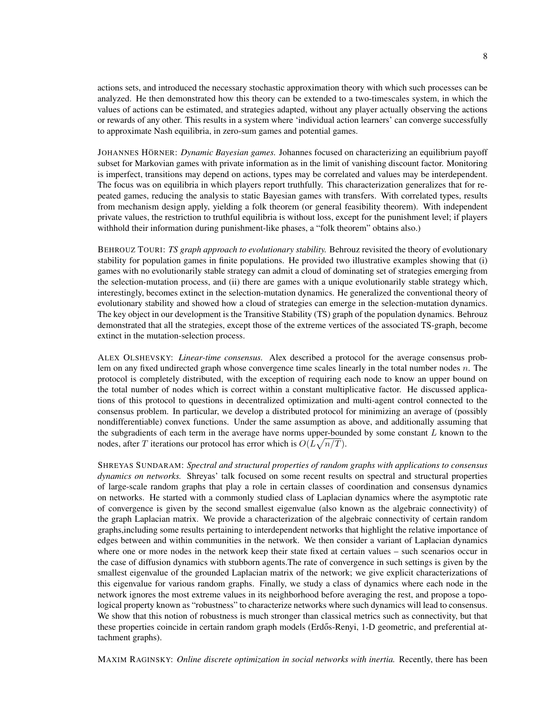actions sets, and introduced the necessary stochastic approximation theory with which such processes can be analyzed. He then demonstrated how this theory can be extended to a two-timescales system, in which the values of actions can be estimated, and strategies adapted, without any player actually observing the actions or rewards of any other. This results in a system where 'individual action learners' can converge successfully to approximate Nash equilibria, in zero-sum games and potential games.

JOHANNES HÖRNER: *Dynamic Bayesian games*. Johannes focused on characterizing an equilibrium payoff subset for Markovian games with private information as in the limit of vanishing discount factor. Monitoring is imperfect, transitions may depend on actions, types may be correlated and values may be interdependent. The focus was on equilibria in which players report truthfully. This characterization generalizes that for repeated games, reducing the analysis to static Bayesian games with transfers. With correlated types, results from mechanism design apply, yielding a folk theorem (or general feasibility theorem). With independent private values, the restriction to truthful equilibria is without loss, except for the punishment level; if players withhold their information during punishment-like phases, a "folk theorem" obtains also.)

BEHROUZ TOURI: *TS graph approach to evolutionary stability.* Behrouz revisited the theory of evolutionary stability for population games in finite populations. He provided two illustrative examples showing that (i) games with no evolutionarily stable strategy can admit a cloud of dominating set of strategies emerging from the selection-mutation process, and (ii) there are games with a unique evolutionarily stable strategy which, interestingly, becomes extinct in the selection-mutation dynamics. He generalized the conventional theory of evolutionary stability and showed how a cloud of strategies can emerge in the selection-mutation dynamics. The key object in our development is the Transitive Stability (TS) graph of the population dynamics. Behrouz demonstrated that all the strategies, except those of the extreme vertices of the associated TS-graph, become extinct in the mutation-selection process.

ALEX OLSHEVSKY: *Linear-time consensus.* Alex described a protocol for the average consensus problem on any fixed undirected graph whose convergence time scales linearly in the total number nodes  $n$ . The protocol is completely distributed, with the exception of requiring each node to know an upper bound on the total number of nodes which is correct within a constant multiplicative factor. He discussed applications of this protocol to questions in decentralized optimization and multi-agent control connected to the consensus problem. In particular, we develop a distributed protocol for minimizing an average of (possibly nondifferentiable) convex functions. Under the same assumption as above, and additionally assuming that the subgradients of each term in the average have norms upper-bounded by some constant  $L$  known to the nodes, after T iterations our protocol has error which is  $O(L\sqrt{n/T})$ .

SHREYAS SUNDARAM: *Spectral and structural properties of random graphs with applications to consensus dynamics on networks.* Shreyas' talk focused on some recent results on spectral and structural properties of large-scale random graphs that play a role in certain classes of coordination and consensus dynamics on networks. He started with a commonly studied class of Laplacian dynamics where the asymptotic rate of convergence is given by the second smallest eigenvalue (also known as the algebraic connectivity) of the graph Laplacian matrix. We provide a characterization of the algebraic connectivity of certain random graphs,including some results pertaining to interdependent networks that highlight the relative importance of edges between and within communities in the network. We then consider a variant of Laplacian dynamics where one or more nodes in the network keep their state fixed at certain values – such scenarios occur in the case of diffusion dynamics with stubborn agents.The rate of convergence in such settings is given by the smallest eigenvalue of the grounded Laplacian matrix of the network; we give explicit characterizations of this eigenvalue for various random graphs. Finally, we study a class of dynamics where each node in the network ignores the most extreme values in its neighborhood before averaging the rest, and propose a topological property known as "robustness" to characterize networks where such dynamics will lead to consensus. We show that this notion of robustness is much stronger than classical metrics such as connectivity, but that these properties coincide in certain random graph models (Erdős-Renyi, 1-D geometric, and preferential attachment graphs).

MAXIM RAGINSKY: *Online discrete optimization in social networks with inertia.* Recently, there has been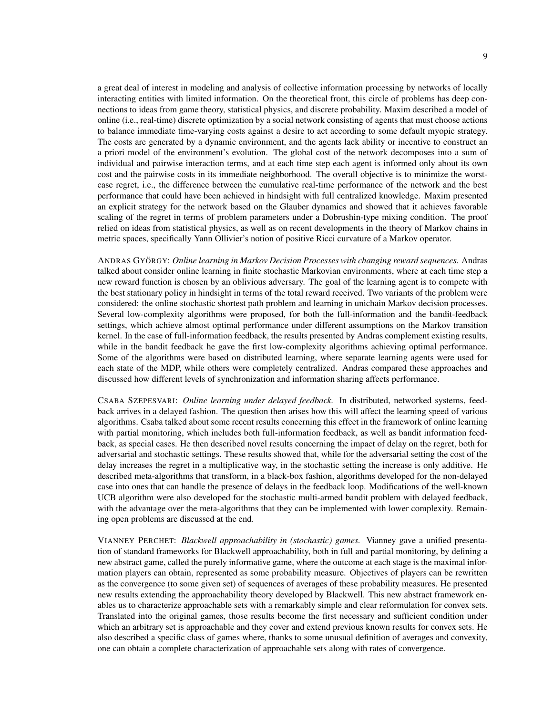a great deal of interest in modeling and analysis of collective information processing by networks of locally interacting entities with limited information. On the theoretical front, this circle of problems has deep connections to ideas from game theory, statistical physics, and discrete probability. Maxim described a model of online (i.e., real-time) discrete optimization by a social network consisting of agents that must choose actions to balance immediate time-varying costs against a desire to act according to some default myopic strategy. The costs are generated by a dynamic environment, and the agents lack ability or incentive to construct an a priori model of the environment's evolution. The global cost of the network decomposes into a sum of individual and pairwise interaction terms, and at each time step each agent is informed only about its own cost and the pairwise costs in its immediate neighborhood. The overall objective is to minimize the worstcase regret, i.e., the difference between the cumulative real-time performance of the network and the best performance that could have been achieved in hindsight with full centralized knowledge. Maxim presented an explicit strategy for the network based on the Glauber dynamics and showed that it achieves favorable scaling of the regret in terms of problem parameters under a Dobrushin-type mixing condition. The proof relied on ideas from statistical physics, as well as on recent developments in the theory of Markov chains in metric spaces, specifically Yann Ollivier's notion of positive Ricci curvature of a Markov operator.

ANDRAS GYORGY ¨ : *Online learning in Markov Decision Processes with changing reward sequences.* Andras talked about consider online learning in finite stochastic Markovian environments, where at each time step a new reward function is chosen by an oblivious adversary. The goal of the learning agent is to compete with the best stationary policy in hindsight in terms of the total reward received. Two variants of the problem were considered: the online stochastic shortest path problem and learning in unichain Markov decision processes. Several low-complexity algorithms were proposed, for both the full-information and the bandit-feedback settings, which achieve almost optimal performance under different assumptions on the Markov transition kernel. In the case of full-information feedback, the results presented by Andras complement existing results, while in the bandit feedback he gave the first low-complexity algorithms achieving optimal performance. Some of the algorithms were based on distributed learning, where separate learning agents were used for each state of the MDP, while others were completely centralized. Andras compared these approaches and discussed how different levels of synchronization and information sharing affects performance.

CSABA SZEPESVARI: *Online learning under delayed feedback.* In distributed, networked systems, feedback arrives in a delayed fashion. The question then arises how this will affect the learning speed of various algorithms. Csaba talked about some recent results concerning this effect in the framework of online learning with partial monitoring, which includes both full-information feedback, as well as bandit information feedback, as special cases. He then described novel results concerning the impact of delay on the regret, both for adversarial and stochastic settings. These results showed that, while for the adversarial setting the cost of the delay increases the regret in a multiplicative way, in the stochastic setting the increase is only additive. He described meta-algorithms that transform, in a black-box fashion, algorithms developed for the non-delayed case into ones that can handle the presence of delays in the feedback loop. Modifications of the well-known UCB algorithm were also developed for the stochastic multi-armed bandit problem with delayed feedback, with the advantage over the meta-algorithms that they can be implemented with lower complexity. Remaining open problems are discussed at the end.

VIANNEY PERCHET: *Blackwell approachability in (stochastic) games.* Vianney gave a unified presentation of standard frameworks for Blackwell approachability, both in full and partial monitoring, by defining a new abstract game, called the purely informative game, where the outcome at each stage is the maximal information players can obtain, represented as some probability measure. Objectives of players can be rewritten as the convergence (to some given set) of sequences of averages of these probability measures. He presented new results extending the approachability theory developed by Blackwell. This new abstract framework enables us to characterize approachable sets with a remarkably simple and clear reformulation for convex sets. Translated into the original games, those results become the first necessary and sufficient condition under which an arbitrary set is approachable and they cover and extend previous known results for convex sets. He also described a specific class of games where, thanks to some unusual definition of averages and convexity, one can obtain a complete characterization of approachable sets along with rates of convergence.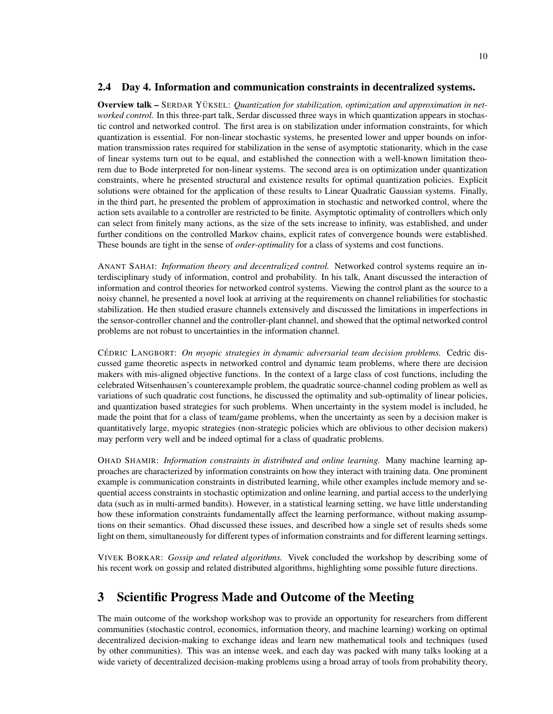### 2.4 Day 4. Information and communication constraints in decentralized systems.

Overview talk – SERDAR YÜKSEL: *Quantization for stabilization, optimization and approximation in networked control.* In this three-part talk, Serdar discussed three ways in which quantization appears in stochastic control and networked control. The first area is on stabilization under information constraints, for which quantization is essential. For non-linear stochastic systems, he presented lower and upper bounds on information transmission rates required for stabilization in the sense of asymptotic stationarity, which in the case of linear systems turn out to be equal, and established the connection with a well-known limitation theorem due to Bode interpreted for non-linear systems. The second area is on optimization under quantization constraints, where he presented structural and existence results for optimal quantization policies. Explicit solutions were obtained for the application of these results to Linear Quadratic Gaussian systems. Finally, in the third part, he presented the problem of approximation in stochastic and networked control, where the action sets available to a controller are restricted to be finite. Asymptotic optimality of controllers which only can select from finitely many actions, as the size of the sets increase to infinity, was established, and under further conditions on the controlled Markov chains, explicit rates of convergence bounds were established. These bounds are tight in the sense of *order-optimality* for a class of systems and cost functions.

ANANT SAHAI: *Information theory and decentralized control.* Networked control systems require an interdisciplinary study of information, control and probability. In his talk, Anant discussed the interaction of information and control theories for networked control systems. Viewing the control plant as the source to a noisy channel, he presented a novel look at arriving at the requirements on channel reliabilities for stochastic stabilization. He then studied erasure channels extensively and discussed the limitations in imperfections in the sensor-controller channel and the controller-plant channel, and showed that the optimal networked control problems are not robust to uncertainties in the information channel.

CÉDRIC LANGBORT: On myopic strategies in dynamic adversarial team decision problems. Cedric discussed game theoretic aspects in networked control and dynamic team problems, where there are decision makers with mis-aligned objective functions. In the context of a large class of cost functions, including the celebrated Witsenhausen's counterexample problem, the quadratic source-channel coding problem as well as variations of such quadratic cost functions, he discussed the optimality and sub-optimality of linear policies, and quantization based strategies for such problems. When uncertainty in the system model is included, he made the point that for a class of team/game problems, when the uncertainty as seen by a decision maker is quantitatively large, myopic strategies (non-strategic policies which are oblivious to other decision makers) may perform very well and be indeed optimal for a class of quadratic problems.

OHAD SHAMIR: *Information constraints in distributed and online learning.* Many machine learning approaches are characterized by information constraints on how they interact with training data. One prominent example is communication constraints in distributed learning, while other examples include memory and sequential access constraints in stochastic optimization and online learning, and partial access to the underlying data (such as in multi-armed bandits). However, in a statistical learning setting, we have little understanding how these information constraints fundamentally affect the learning performance, without making assumptions on their semantics. Ohad discussed these issues, and described how a single set of results sheds some light on them, simultaneously for different types of information constraints and for different learning settings.

VIVEK BORKAR: *Gossip and related algorithms.* Vivek concluded the workshop by describing some of his recent work on gossip and related distributed algorithms, highlighting some possible future directions.

## 3 Scientific Progress Made and Outcome of the Meeting

The main outcome of the workshop workshop was to provide an opportunity for researchers from different communities (stochastic control, economics, information theory, and machine learning) working on optimal decentralized decision-making to exchange ideas and learn new mathematical tools and techniques (used by other communities). This was an intense week, and each day was packed with many talks looking at a wide variety of decentralized decision-making problems using a broad array of tools from probability theory,